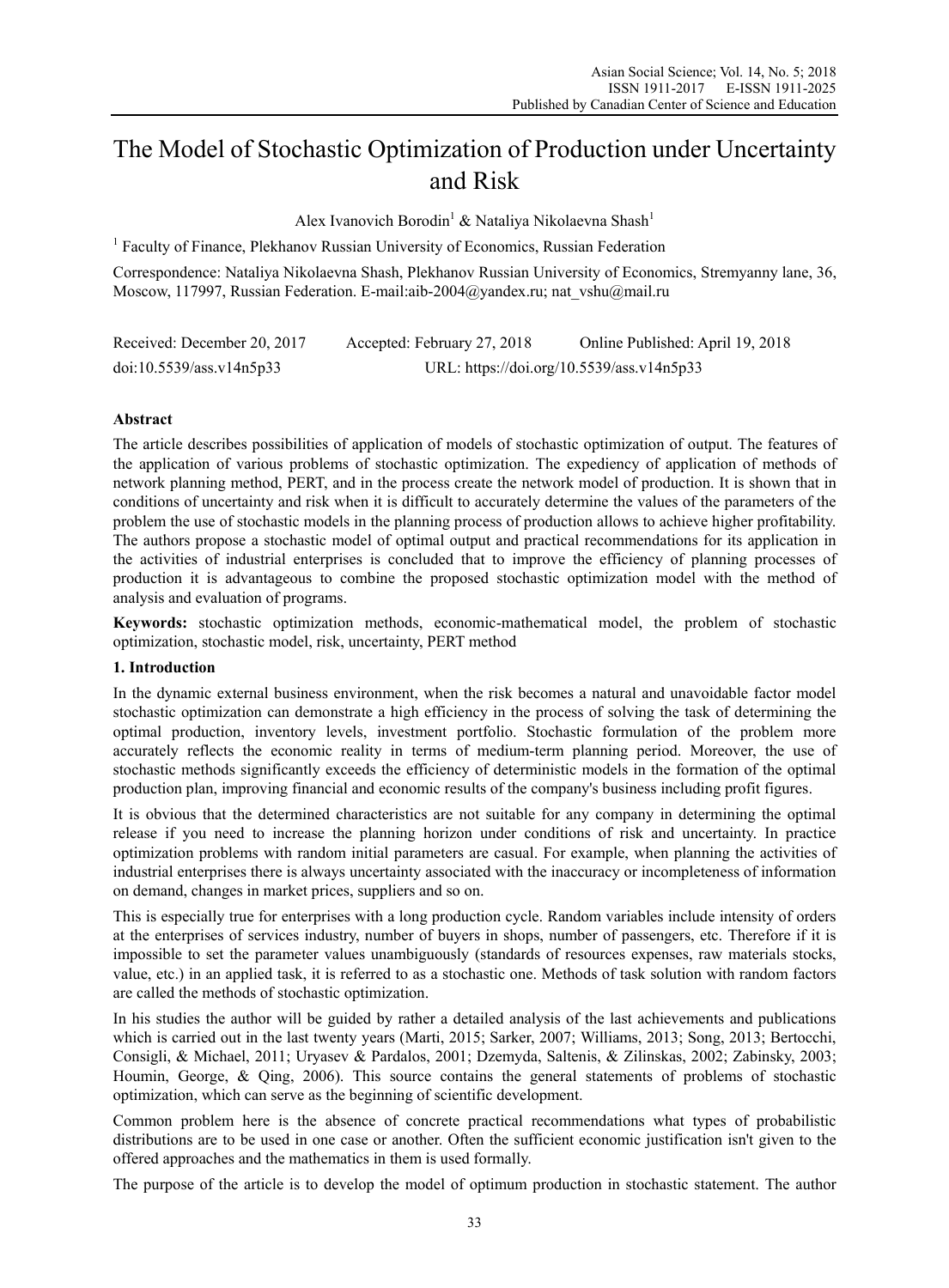# The Model of Stochastic Optimization of Production under Uncertainty and Risk

Alex Ivanovich Borodin<sup>1</sup> & Nataliya Nikolaevna Shash<sup>1</sup>

<sup>1</sup> Faculty of Finance, Plekhanov Russian University of Economics, Russian Federation

Correspondence: Nataliya Nikolaevna Shash, Plekhanov Russian University of Economics, Stremyanny lane, 36, Moscow, 117997, Russian Federation. E-mail:aib-2004@yandex.ru; nat\_vshu@mail.ru

| Received: December 20, 2017 | Accepted: February 27, 2018               | Online Published: April 19, 2018 |  |  |
|-----------------------------|-------------------------------------------|----------------------------------|--|--|
| doi:10.5539/ass.v14n5p33    | URL: https://doi.org/10.5539/ass.v14n5p33 |                                  |  |  |

## **Abstract**

The article describes possibilities of application of models of stochastic optimization of output. The features of the application of various problems of stochastic optimization. The expediency of application of methods of network planning method, PERT, and in the process create the network model of production. It is shown that in conditions of uncertainty and risk when it is difficult to accurately determine the values of the parameters of the problem the use of stochastic models in the planning process of production allows to achieve higher profitability. The authors propose a stochastic model of optimal output and practical recommendations for its application in the activities of industrial enterprises is concluded that to improve the efficiency of planning processes of production it is advantageous to combine the proposed stochastic optimization model with the method of analysis and evaluation of programs.

**Keywords:** stochastic optimization methods, economic-mathematical model, the problem of stochastic optimization, stochastic model, risk, uncertainty, PERT method

## **1. Introduction**

In the dynamic external business environment, when the risk becomes a natural and unavoidable factor model stochastic optimization can demonstrate a high efficiency in the process of solving the task of determining the optimal production, inventory levels, investment portfolio. Stochastic formulation of the problem more accurately reflects the economic reality in terms of medium-term planning period. Moreover, the use of stochastic methods significantly exceeds the efficiency of deterministic models in the formation of the optimal production plan, improving financial and economic results of the company's business including profit figures.

It is obvious that the determined characteristics are not suitable for any company in determining the optimal release if you need to increase the planning horizon under conditions of risk and uncertainty. In practice optimization problems with random initial parameters are casual. For example, when planning the activities of industrial enterprises there is always uncertainty associated with the inaccuracy or incompleteness of information on demand, changes in market prices, suppliers and so on.

This is especially true for enterprises with a long production cycle. Random variables include intensity of orders at the enterprises of services industry, number of buyers in shops, number of passengers, etc. Therefore if it is impossible to set the parameter values unambiguously (standards of resources expenses, raw materials stocks, value, etc.) in an applied task, it is referred to as a stochastic one. Methods of task solution with random factors are called the methods of stochastic optimization.

In his studies the author will be guided by rather a detailed analysis of the last achievements and publications which is carried out in the last twenty years (Marti, 2015; Sarker, 2007; Williams, 2013; Song, 2013; Bertocchi, Consigli, & Michael, 2011; Uryasev & Pardalos, 2001; Dzemyda, Saltenis, & Zilinskas, 2002; Zabinsky, 2003; Houmin, George, & Qing, 2006). This source contains the general statements of problems of stochastic optimization, which can serve as the beginning of scientific development.

Common problem here is the absence of concrete practical recommendations what types of probabilistic distributions are to be used in one case or another. Often the sufficient economic justification isn't given to the offered approaches and the mathematics in them is used formally.

The purpose of the article is to develop the model of optimum production in stochastic statement. The author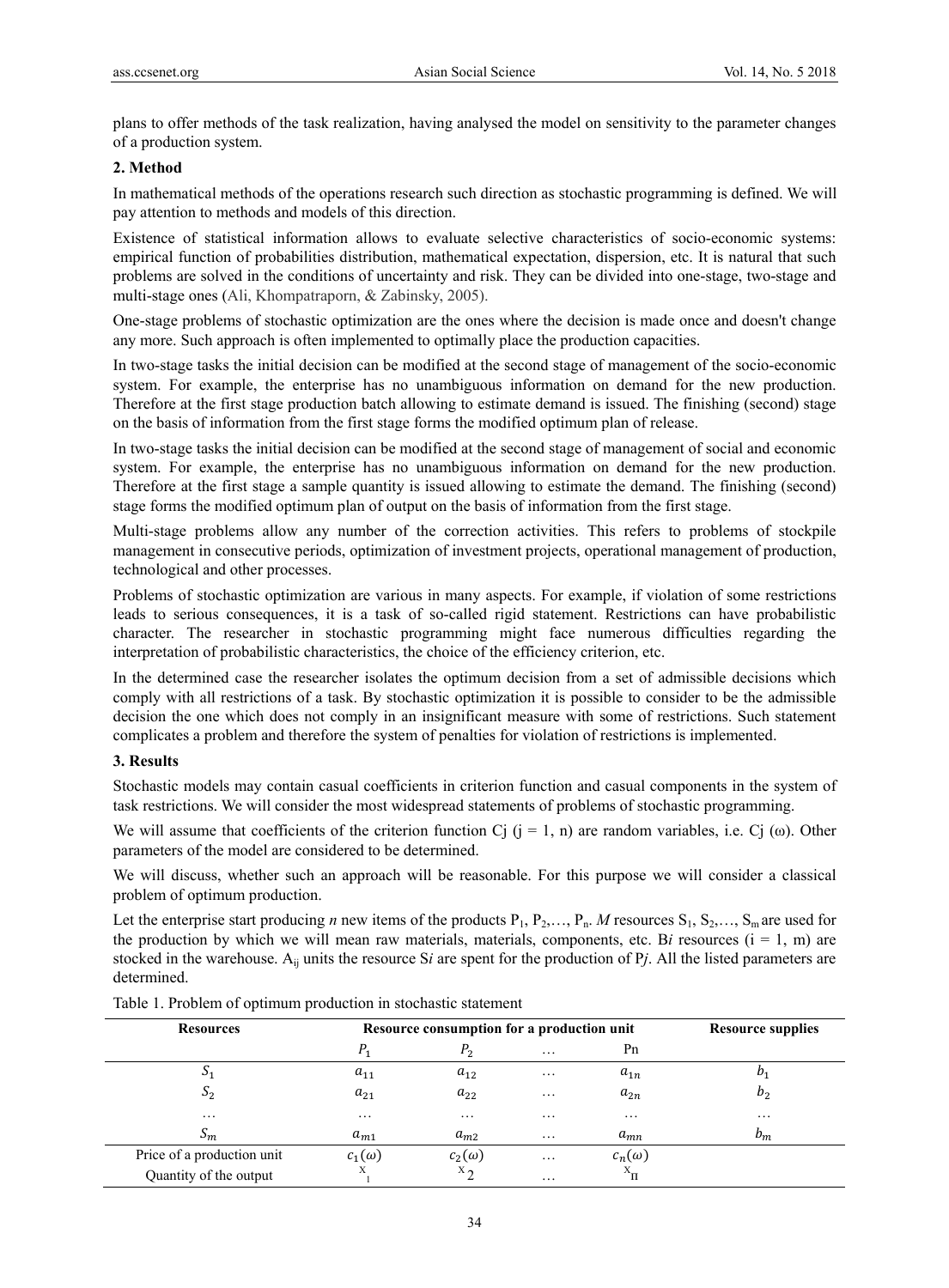plans to offer methods of the task realization, having analysed the model on sensitivity to the parameter changes of a production system.

#### **2. Method**

In mathematical methods of the operations research such direction as stochastic programming is defined. We will pay attention to methods and models of this direction.

Existence of statistical information allows to evaluate selective characteristics of socio-economic systems: empirical function of probabilities distribution, mathematical expectation, dispersion, etc. It is natural that such problems are solved in the conditions of uncertainty and risk. They can be divided into one-stage, two-stage and multi-stage ones (Ali, Khompatraporn, & Zabinsky, 2005).

One-stage problems of stochastic optimization are the ones where the decision is made once and doesn't change any more. Such approach is often implemented to optimally place the production capacities.

In two-stage tasks the initial decision can be modified at the second stage of management of the socio-economic system. For example, the enterprise has no unambiguous information on demand for the new production. Therefore at the first stage production batch allowing to estimate demand is issued. The finishing (second) stage on the basis of information from the first stage forms the modified optimum plan of release.

In two-stage tasks the initial decision can be modified at the second stage of management of social and economic system. For example, the enterprise has no unambiguous information on demand for the new production. Therefore at the first stage a sample quantity is issued allowing to estimate the demand. The finishing (second) stage forms the modified optimum plan of output on the basis of information from the first stage.

Multi-stage problems allow any number of the correction activities. This refers to problems of stockpile management in consecutive periods, optimization of investment projects, operational management of production, technological and other processes.

Problems of stochastic optimization are various in many aspects. For example, if violation of some restrictions leads to serious consequences, it is a task of so-called rigid statement. Restrictions can have probabilistic character. The researcher in stochastic programming might face numerous difficulties regarding the interpretation of probabilistic characteristics, the choice of the efficiency criterion, etc.

In the determined case the researcher isolates the optimum decision from a set of admissible decisions which comply with all restrictions of a task. By stochastic optimization it is possible to consider to be the admissible decision the one which does not comply in an insignificant measure with some of restrictions. Such statement complicates a problem and therefore the system of penalties for violation of restrictions is implemented.

### **3. Results**

Stochastic models may contain casual coefficients in criterion function and casual components in the system of task restrictions. We will consider the most widespread statements of problems of stochastic programming.

We will assume that coefficients of the criterion function Cj  $(j = 1, n)$  are random variables, i.e. Cj  $(\omega)$ . Other parameters of the model are considered to be determined.

We will discuss, whether such an approach will be reasonable. For this purpose we will consider a classical problem of optimum production.

Let the enterprise start producing *n* new items of the products  $P_1, P_2, \ldots, P_n$ . *M* resources  $S_1, S_2, \ldots, S_m$  are used for the production by which we will mean raw materials, materials, components, etc. Bi resources  $(i = 1, m)$  are stocked in the warehouse. Aij units the resource S*i* are spent for the production of P*j*. All the listed parameters are determined.

| <b>Resources</b>                | Resource consumption for a production unit |                     |                     | <b>Resource supplies</b> |                     |
|---------------------------------|--------------------------------------------|---------------------|---------------------|--------------------------|---------------------|
|                                 | $P_{1}$                                    | P <sub>2</sub>      | $\cdots$            | Pn                       |                     |
| $\mathcal{D}_1$                 | $a_{11}$                                   | $a_{12}$            | $\cdots$            | $a_{1n}$                 | $D_1$               |
| $S_2$                           | $a_{21}$                                   | $a_{22}$            | $\cdot \cdot \cdot$ | $a_{2n}$                 | b <sub>2</sub>      |
| $\cdots$                        | $\cdots$                                   | $\cdot \cdot \cdot$ | $\cdot \cdot \cdot$ | $\cdot \cdot \cdot$      | $\cdot \cdot \cdot$ |
| $\scriptstyle{\mathcal{S}_{m}}$ | $a_{m1}$                                   | $a_{m2}$            | $\cdots$            | $a_{mn}$                 | $b_m$               |
| Price of a production unit      | $c_1(\omega)$                              | $c_2(\omega)$       | $\cdots$            | $c_n(\omega)$            |                     |
| Quantity of the output          | Χ                                          | $x_2$               | $\cdot\cdot\cdot$   | $\Gamma$                 |                     |

Table 1. Problem of optimum production in stochastic statement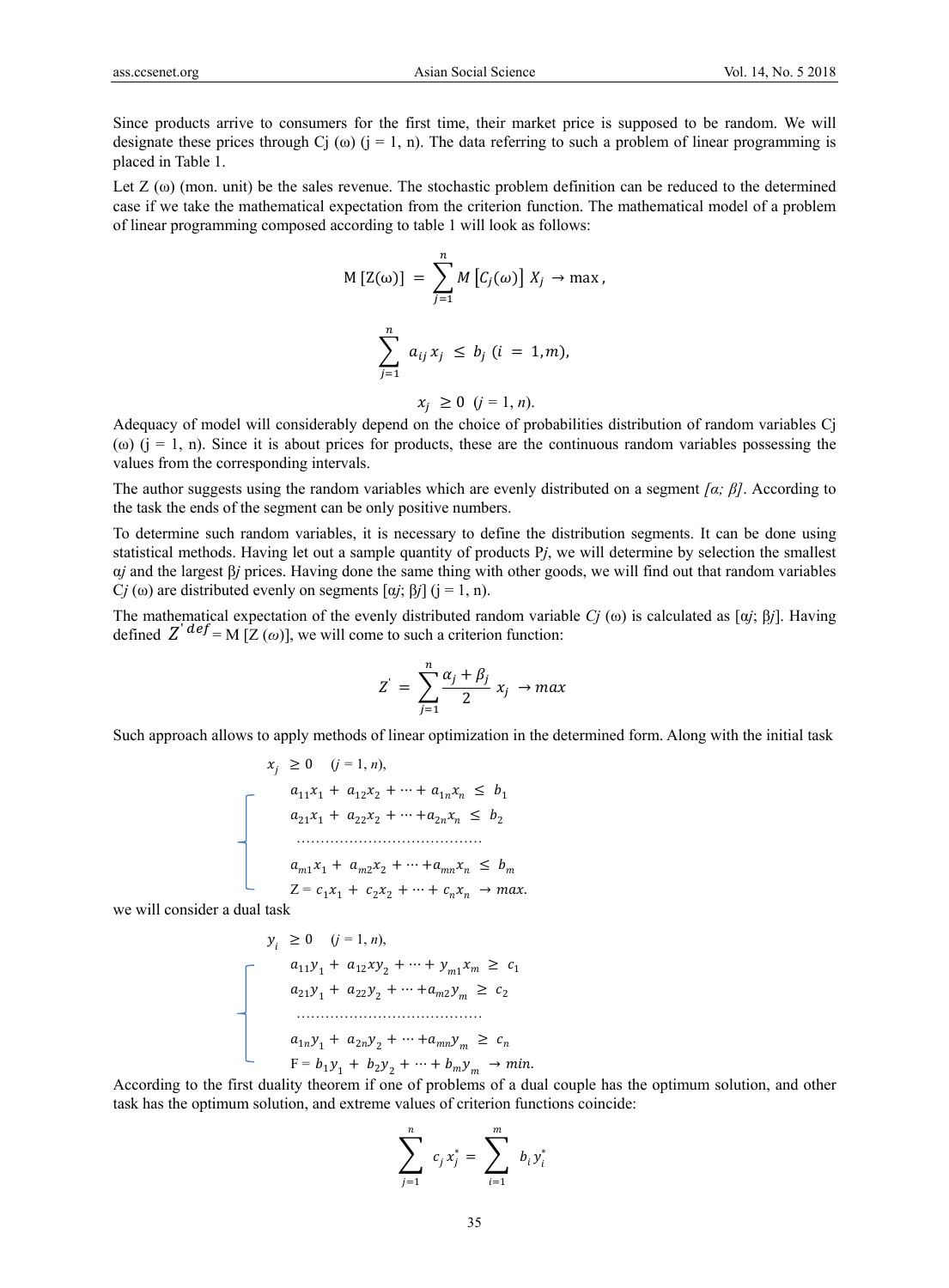Since products arrive to consumers for the first time, their market price is supposed to be random. We will designate these prices through Cj  $(\omega)$  (j = 1, n). The data referring to such a problem of linear programming is placed in Table 1.

Let  $Z(\omega)$  (mon. unit) be the sales revenue. The stochastic problem definition can be reduced to the determined case if we take the mathematical expectation from the criterion function. The mathematical model of a problem of linear programming composed according to table 1 will look as follows:

$$
M[Z(\omega)] = \sum_{j=1}^{n} M[C_j(\omega)] X_j \to \max,
$$
  

$$
\sum_{j=1}^{n} a_{ij} x_j \le b_j (i = 1, m),
$$

$$
x_j \geq 0 \ \ (j=1,n).
$$

Adequacy of model will considerably depend on the choice of probabilities distribution of random variables Cj (ω)  $(i = 1, n)$ . Since it is about prices for products, these are the continuous random variables possessing the values from the corresponding intervals.

The author suggests using the random variables which are evenly distributed on a segment  $\int \alpha$ *;*  $\beta$ *]*. According to the task the ends of the segment can be only positive numbers.

To determine such random variables, it is necessary to define the distribution segments. It can be done using statistical methods. Having let out a sample quantity of products P*j*, we will determine by selection the smallest α*j* and the largest β*j* prices. Having done the same thing with other goods, we will find out that random variables C*j* (ω) are distributed evenly on segments  $\left[\alpha j; \beta j\right]$  ( $j = 1, n$ ).

The mathematical expectation of the evenly distributed random variable *Cj* (ω) is calculated as [α*j*; β*j*]. Having defined  $Z'$ <sup> $def = M$ </sup> [ $Z$  ( $\omega$ )], we will come to such a criterion function:

$$
Z^{'} = \sum_{j=1}^{n} \frac{\alpha_j + \beta_j}{2} x_j \rightarrow max
$$

Such approach allows to apply methods of linear optimization in the determined form. Along with the initial task

$$
x_{j} \geq 0 \quad (j = 1, n),
$$
\n
$$
a_{11}x_{1} + a_{12}x_{2} + \dots + a_{1n}x_{n} \leq b_{1}
$$
\n
$$
a_{21}x_{1} + a_{22}x_{2} + \dots + a_{2n}x_{n} \leq b_{2}
$$
\n
$$
\dots
$$
\n
$$
a_{m1}x_{1} + a_{m2}x_{2} + \dots + a_{mn}x_{n} \leq b_{m}
$$
\n
$$
Z = c_{1}x_{1} + c_{2}x_{2} + \dots + c_{n}x_{n} \to max.
$$

we will consider a dual task

$$
y_{i} \geq 0 \quad (j = 1, n),
$$
  
\n
$$
a_{11}y_{1} + a_{12}xy_{2} + \dots + y_{m1}x_{m} \geq c_{1}
$$
  
\n
$$
a_{21}y_{1} + a_{22}y_{2} + \dots + a_{m2}y_{m} \geq c_{2}
$$
  
\n
$$
\dots
$$
  
\n
$$
a_{1n}y_{1} + a_{2n}y_{2} + \dots + a_{mn}y_{m} \geq c_{n}
$$
  
\n
$$
F = b_{1}y_{1} + b_{2}y_{2} + \dots + b_{m}y_{m} \rightarrow min.
$$

According to the first duality theorem if one of problems of a dual couple has the optimum solution, and other task has the optimum solution, and extreme values of criterion functions coincide:

$$
\sum_{j=1}^{n} c_j x_j^* = \sum_{i=1}^{m} b_i y_i^*
$$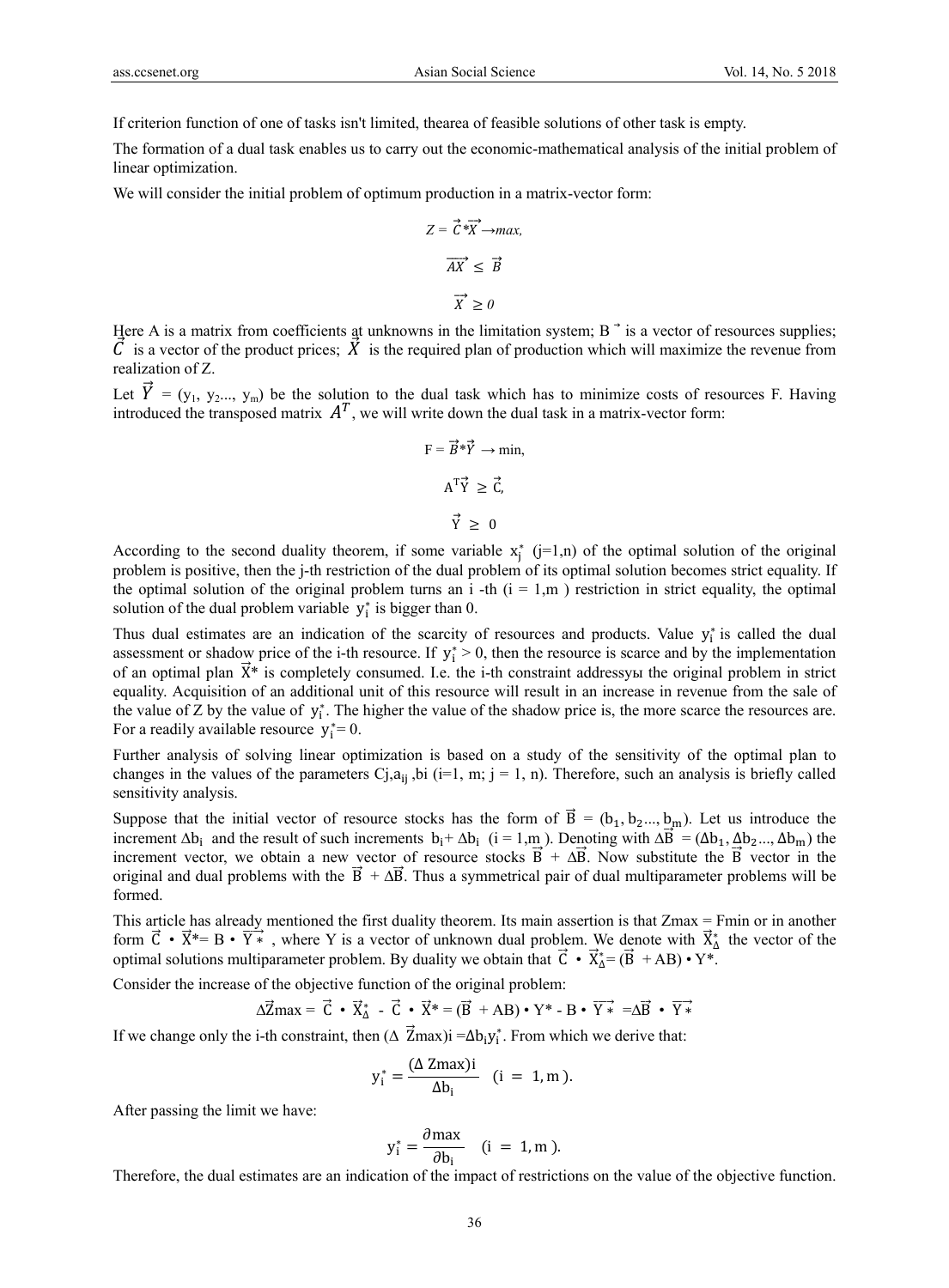If criterion function of one of tasks isn't limited, thearea of feasible solutions of other task is empty.

The formation of a dual task enables us to carry out the economic-mathematical analysis of the initial problem of linear optimization.

We will consider the initial problem of optimum production in a matrix-vector form:

$$
Z = \vec{C} \cdot \vec{X} \rightarrow max,
$$
  

$$
\vec{AX} \leq \vec{B}
$$
  

$$
\vec{X} \geq 0
$$

Here A is a matrix from coefficients at unknowns in the limitation system;  $B^{\dagger}$  is a vector of resources supplies;  $\vec{C}$  is a vector of the product prices;  $\vec{X}$  is the required plan of production which will maximize the revenue from realization of Z.

Let  $\vec{Y} = (y_1, y_2, \ldots, y_m)$  be the solution to the dual task which has to minimize costs of resources F. Having introduced the transposed matrix  $A<sup>T</sup>$ , we will write down the dual task in a matrix-vector form:

$$
F = \vec{B}^* \vec{Y} \to \min, \nA^T \vec{Y} \ge \vec{C}, \n\vec{Y} \ge 0
$$

According to the second duality theorem, if some variable  $x_j^*$  (j=1,n) of the optimal solution of the original problem is positive, then the j-th restriction of the dual problem of its optimal solution becomes strict equality. If the optimal solution of the original problem turns an i -th  $(i = 1, m)$  restriction in strict equality, the optimal solution of the dual problem variable  $y_i^*$  is bigger than 0.

Thus dual estimates are an indication of the scarcity of resources and products. Value  $y_i^*$  is called the dual assessment or shadow price of the i-th resource. If  $y_i^* > 0$ , then the resource is scarce and by the implementation of an optimal plan  $\vec{X}^*$  is completely consumed. I.e. the i-th constraint addressym the original problem in strict equality. Acquisition of an additional unit of this resource will result in an increase in revenue from the sale of the value of  $\bar{Z}$  by the value of  $y_i^*$ . The higher the value of the shadow price is, the more scarce the resources are. For a readily available resource  $y_i^* = 0$ .

Further analysis of solving linear optimization is based on a study of the sensitivity of the optimal plan to changes in the values of the parameters  $C_i, a_{i,j}$ , bi (i=1, m; j = 1, n). Therefore, such an analysis is briefly called sensitivity analysis.

Suppose that the initial vector of resource stocks has the form of  $\vec{B} = (b_1, b_2, \ldots, b_m)$ . Let us introduce the increment  $\Delta b_i$  and the result of such increments  $b_i + \Delta b_i$  (i = 1,m ). Denoting with  $\Delta \vec{B} = (\Delta b_1, \Delta b_2, \Delta b_m)$  the increment vector, we obtain a new vector of resource stocks  $\vec{B} + \Delta \vec{B}$ . Now substitute the  $\vec{B}$  vector in the original and dual problems with the  $\vec{B} + \Delta \vec{B}$ . Thus a symmetrical pair of dual multiparameter problems will be formed.

This article has already mentioned the first duality theorem. Its main assertion is that Zmax = Fmin or in another form  $\vec{C} \cdot \vec{X}^* = B \cdot \vec{Y}^*$ , where Y is a vector of unknown dual problem. We denote with  $\vec{X}^*$  the vector of the optimal solutions multiparameter problem. By duality we obtain that  $\vec{C} \cdot \vec{X}_{\Delta}^* = (\vec{B} + AB) \cdot Y^*$ .

Consider the increase of the objective function of the original problem:

 $\Delta \vec{Z}$ max =  $\vec{C} \cdot \vec{X}_{\Delta}^{*}$  -  $\vec{C} \cdot \vec{X}^{*}$  =  $(\vec{B} + AB) \cdot Y^{*}$  -  $B \cdot \vec{Y}^{*}$  = $\Delta \vec{B} \cdot \vec{Y}^{*}$ 

If we change only the i-th constraint, then  $(\Delta \vec{Z}$ max)i = $\Delta b_i y_i^*$ . From which we derive that:

$$
y_i^* = \frac{(\Delta \text{ Zmax})i}{\Delta b_i} \quad (i = 1, m).
$$

After passing the limit we have:

$$
y_i^* = \frac{\partial \max}{\partial b_i} \quad (i = 1, m).
$$

Therefore, the dual estimates are an indication of the impact of restrictions on the value of the objective function.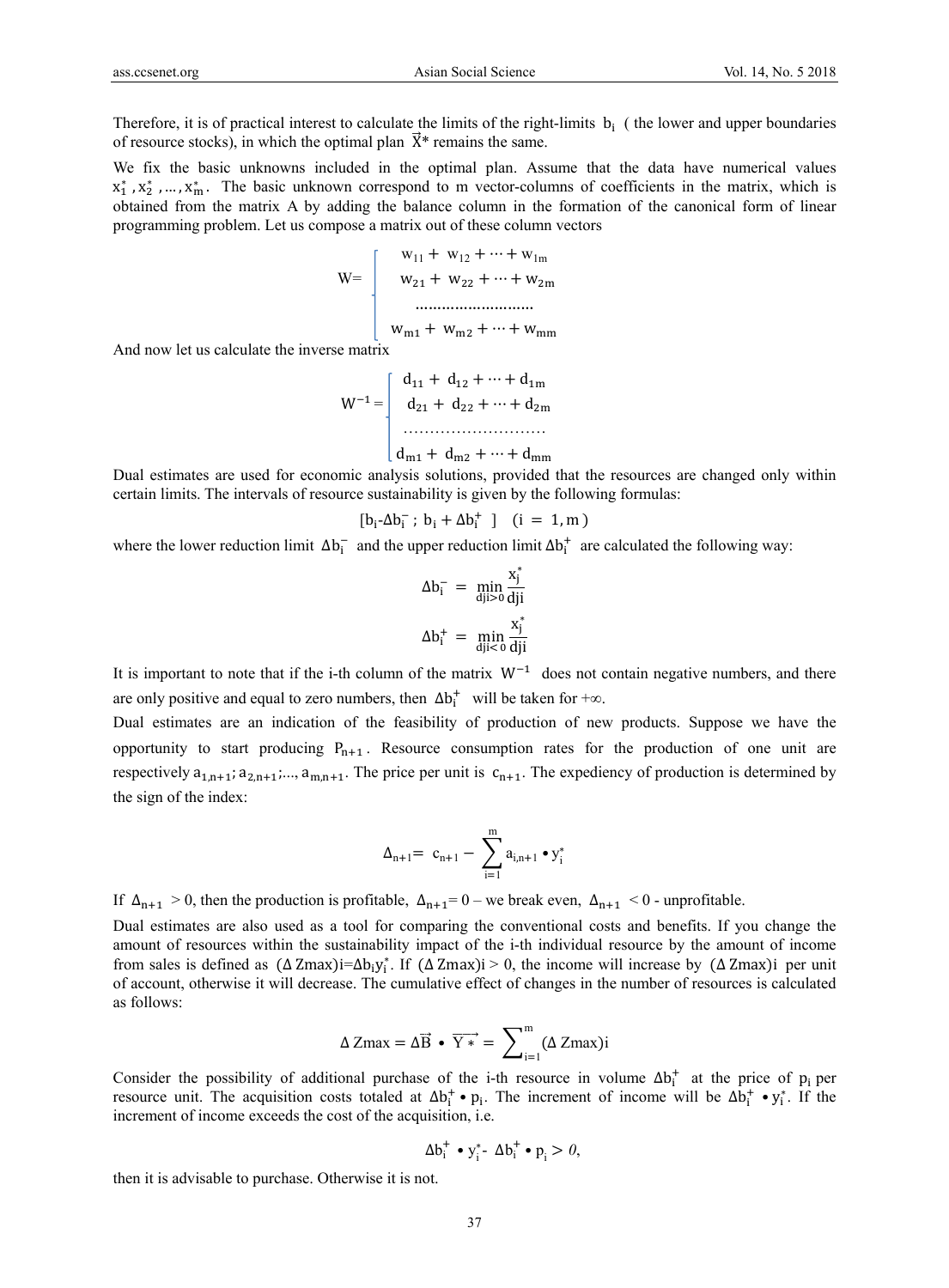Therefore, it is of practical interest to calculate the limits of the right-limits  $b_i$  ( the lower and upper boundaries of resource stocks), in which the optimal plan  $\vec{X}^*$  remains the same.

We fix the basic unknowns included in the optimal plan. Assume that the data have numerical values  $x_1^*, x_2^*, \ldots, x_m^*$ . The basic unknown correspond to m vector-columns of coefficients in the matrix, which is obtained from the matrix A by adding the balance column in the formation of the canonical form of linear programming problem. Let us compose a matrix out of these column vectors

$$
W = \begin{bmatrix} w_{11} + w_{12} + \dots + w_{1m} \\ w_{21} + w_{22} + \dots + w_{2m} \\ \dots \\ \dots \\ w_{m1} + w_{m2} + \dots + w_{mm} \end{bmatrix}
$$

And now let us calculate the inverse matrix

$$
W^{-1} = \begin{bmatrix} d_{11} + d_{12} + \dots + d_{1m} \\ d_{21} + d_{22} + \dots + d_{2m} \\ \dots \\ d_{m1} + d_{m2} + \dots + d_{mm} \end{bmatrix}
$$

Dual estimates are used for economic analysis solutions, provided that the resources are changed only within certain limits. The intervals of resource sustainability is given by the following formulas:

$$
[b_i\text{-}\Delta b_i^- \; ; \; b_i + \Delta b_i^+ \; \; ] \quad (i \; = \; 1,m \; )
$$

where the lower reduction limit  $\Delta b_i^-$  and the upper reduction limit  $\Delta b_i^+$  are calculated the following way:

$$
\Delta b_{i}^{-} = \min_{dji>0} \frac{x_{j}^{*}}{dji}
$$

$$
\Delta b_{i}^{+} = \min_{dji<0} \frac{x_{j}^{*}}{dji}
$$

It is important to note that if the i-th column of the matrix  $W^{-1}$  does not contain negative numbers, and there are only positive and equal to zero numbers, then  $\Delta b_i^+$  will be taken for +∞.

Dual estimates are an indication of the feasibility of production of new products. Suppose we have the opportunity to start producing  $P_{n+1}$ . Resource consumption rates for the production of one unit are respectively  $a_{1,n+1}$ ;  $a_{2,n+1}$ ;...,  $a_{m,n+1}$ . The price per unit is  $c_{n+1}$ . The expediency of production is determined by the sign of the index:

$$
\Delta_{n+1} \!\!=\ c_{n+1} - \sum_{i=1}^m a_{i,n+1} \bullet y_i^*
$$

If  $\Delta_{n+1} > 0$ , then the production is profitable,  $\Delta_{n+1} = 0$  – we break even,  $\Delta_{n+1} < 0$  - unprofitable.

Dual estimates are also used as a tool for comparing the conventional costs and benefits. If you change the amount of resources within the sustainability impact of the i-th individual resource by the amount of income from sales is defined as  $(\Delta \text{Zmax})i = \Delta b_i y_i^*$ . If  $(\Delta \text{Zmax})i > 0$ , the income will increase by  $(\Delta \text{Zmax})i$  per unit of account, otherwise it will decrease. The cumulative effect of changes in the number of resources is calculated as follows:

$$
\Delta Zmax = \Delta \vec{B} \cdot \overrightarrow{Y*} = \sum\nolimits_{i=1}^{m} (\Delta Zmax)i
$$

Consider the possibility of additional purchase of the i-th resource in volume  $\Delta b_i^+$  at the price of p<sub>i</sub> per resource unit. The acquisition costs totaled at  $\Delta b_i^+ \bullet p_i$ . The increment of income will be  $\Delta b_i^+ \bullet y_i^*$ . If the increment of income exceeds the cost of the acquisition, i.e.

$$
\Delta b_i^+ \bullet y_i^* \bullet \Delta b_i^+ \bullet p_i > 0,
$$

then it is advisable to purchase. Otherwise it is not.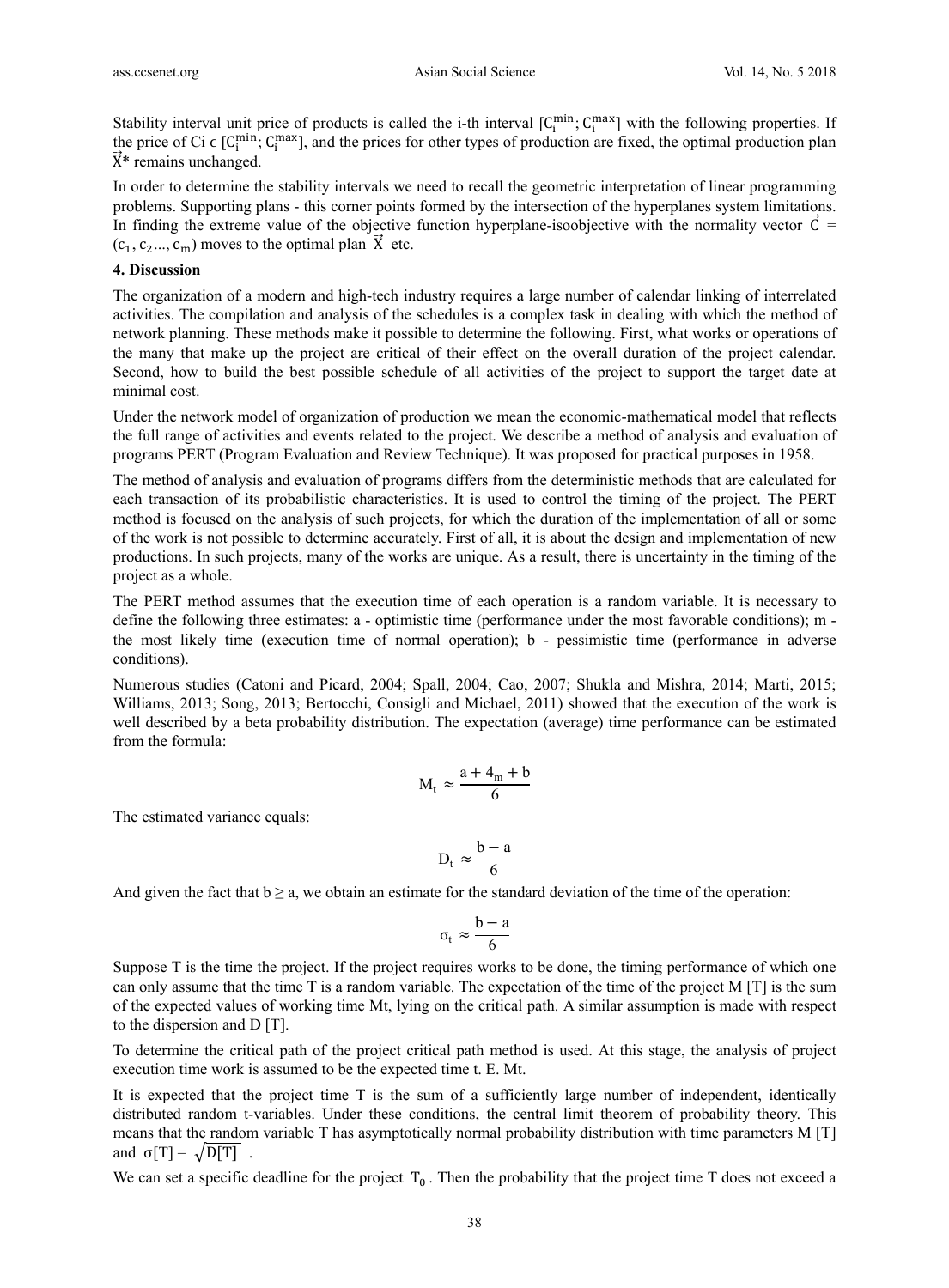Stability interval unit price of products is called the i-th interval  $[C_i^{min}; C_i^{max}]$  with the following properties. If the price of Ci  $\epsilon$  [C<sub>i</sub><sup>nin</sup>; C<sub>i</sub><sup>max</sup>], and the prices for other types of production are fixed, the optimal production plan  $\vec{X}^*$  remains unchanged.

In order to determine the stability intervals we need to recall the geometric interpretation of linear programming problems. Supporting plans - this corner points formed by the intersection of the hyperplanes system limitations. In finding the extreme value of the objective function hyperplane-isoobjective with the normality vector  $\vec{C}$  =  $(c_1, c_2, \ldots, c_m)$  moves to the optimal plan  $\overrightarrow{X}$  etc.

### **4. Discussion**

The organization of a modern and high-tech industry requires a large number of calendar linking of interrelated activities. The compilation and analysis of the schedules is a complex task in dealing with which the method of network planning. These methods make it possible to determine the following. First, what works or operations of the many that make up the project are critical of their effect on the overall duration of the project calendar. Second, how to build the best possible schedule of all activities of the project to support the target date at minimal cost.

Under the network model of organization of production we mean the economic-mathematical model that reflects the full range of activities and events related to the project. We describe a method of analysis and evaluation of programs PERT (Program Evaluation and Review Technique). It was proposed for practical purposes in 1958.

The method of analysis and evaluation of programs differs from the deterministic methods that are calculated for each transaction of its probabilistic characteristics. It is used to control the timing of the project. The PERT method is focused on the analysis of such projects, for which the duration of the implementation of all or some of the work is not possible to determine accurately. First of all, it is about the design and implementation of new productions. In such projects, many of the works are unique. As a result, there is uncertainty in the timing of the project as a whole.

The PERT method assumes that the execution time of each operation is a random variable. It is necessary to define the following three estimates: a - optimistic time (performance under the most favorable conditions); m the most likely time (execution time of normal operation); b - pessimistic time (performance in adverse conditions).

Numerous studies (Catoni and Picard, 2004; Spall, 2004; Cao, 2007; Shukla and Mishra, 2014; Marti, 2015; Williams, 2013; Song, 2013; Bertocchi, Consigli and Michael, 2011) showed that the execution of the work is well described by a beta probability distribution. The expectation (average) time performance can be estimated from the formula:

$$
M_t \approx \frac{a + 4_m + b}{6}
$$

The estimated variance equals:

$$
D_t \approx \frac{b-a}{6}
$$

And given the fact that  $b \ge a$ , we obtain an estimate for the standard deviation of the time of the operation:

$$
\sigma_t \approx \frac{b-a}{6}
$$

Suppose T is the time the project. If the project requires works to be done, the timing performance of which one can only assume that the time T is a random variable. The expectation of the time of the project M [T] is the sum of the expected values of working time Mt, lying on the critical path. A similar assumption is made with respect to the dispersion and D [T].

To determine the critical path of the project critical path method is used. At this stage, the analysis of project execution time work is assumed to be the expected time t. E. Mt.

It is expected that the project time T is the sum of a sufficiently large number of independent, identically distributed random t-variables. Under these conditions, the central limit theorem of probability theory. This means that the random variable T has asymptotically normal probability distribution with time parameters M [T] and  $\sigma[T] = \sqrt{D[T]}$ .

We can set a specific deadline for the project  $T_0$ . Then the probability that the project time T does not exceed a